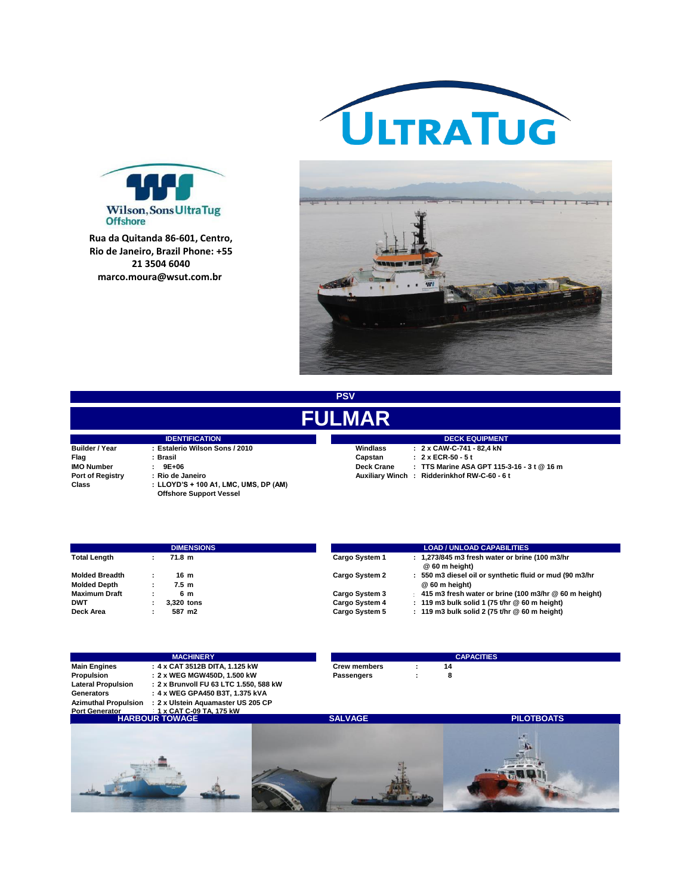



**R. Miguel de Lemos, 25 - Ponta Rua da Quitanda 86-601, Centro, Rio de Janeiro, Brazil Phone: +55 Brazil. 21 3504 6040**



**PSV**

## **FULMAR**

|                                  | <b>IDENTIFICATION</b>                                     |                   | <b>DECK EQUIPMEN</b>                    |
|----------------------------------|-----------------------------------------------------------|-------------------|-----------------------------------------|
| <b>Builder / Year</b>            | : Estalerio Wilson Sons / 2010                            | Windlass          | $: 2 \times$ CAW-C-741 - 82.4 kN        |
| Flag                             | : Brasil                                                  | Capstan           | : 2 x ECR-50 - 5 t                      |
| <b>IMO Number</b>                | $: 9E+06$                                                 | <b>Deck Crane</b> | : TTS Marine ASA GPT 11                 |
| <b>Port of Registry</b><br>Class | : Rio de Janeiro<br>: LLOYD'S + 100 A1, LMC, UMS, DP (AM) |                   | Auxiliary Winch: Ridderinkhof RW-C-60 - |
|                                  | <b>Offshore Support Vessel</b>                            |                   |                                         |

**IMO NUMBER 19E+06.**<br> **Deck Crane : TTS Marine ASA GPT 115-3-16 - 3 t @ 16 m Auxiliary Winch : Ridderinkhof RW-C-60 - 6 t IDECK EQUIPMENT** 

|                       | <b>DIMENSIONS</b> | <b>LOAD / UNLOAD CAPABILITIES</b>                                                  |
|-----------------------|-------------------|------------------------------------------------------------------------------------|
| <b>Total Length</b>   | 71.8 m            | : 1,273/845 m3 fresh water or brine (100 m3/hr<br>Cargo System 1<br>@ 60 m height) |
| <b>Molded Breadth</b> | 16 m              | 550 m3 diesel oil or synthetic fluid or mud (90 m3/hr<br>Cargo System 2            |
| <b>Molded Depth</b>   | 7.5 m             | @ 60 m height)                                                                     |
| <b>Maximum Draft</b>  | 6 m               | 415 m3 fresh water or brine (100 m3/hr @ 60 m height)<br>Cargo System 3            |
| <b>DWT</b>            | 3.320 tons        | : 119 m3 bulk solid 1 (75 t/hr $@$ 60 m height)<br>Cargo System 4                  |
| Deck Area             | 587 m2            | Cargo System 5<br>: 119 m3 bulk solid 2 (75 t/hr $@$ 60 m height)                  |

| <b>MACHINERY</b>          |                                                         | <b>CAPACITIES</b>   |  |    |  |
|---------------------------|---------------------------------------------------------|---------------------|--|----|--|
| <b>Main Engines</b>       | : 4 x CAT 3512B DITA. 1.125 kW                          | <b>Crew members</b> |  | 14 |  |
| Propulsion                | : 2 x WEG MGW450D. 1.500 kW                             | Passengers          |  |    |  |
| <b>Lateral Propulsion</b> | : 2 x Brunvoll FU 63 LTC 1.550. 588 kW                  |                     |  |    |  |
| Generators                | : 4 x WEG GPA450 B3T. 1.375 kVA                         |                     |  |    |  |
|                           | Azimuthal Propulsion : 2 x Ulstein Aquamaster US 205 CP |                     |  |    |  |